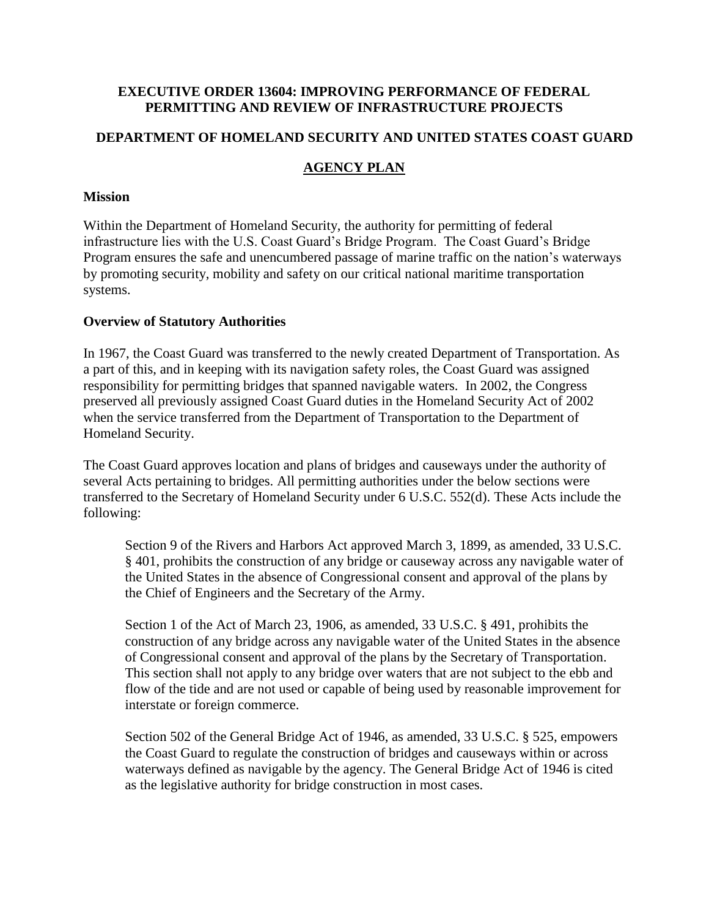### **EXECUTIVE ORDER 13604: IMPROVING PERFORMANCE OF FEDERAL PERMITTING AND REVIEW OF INFRASTRUCTURE PROJECTS**

#### **DEPARTMENT OF HOMELAND SECURITY AND UNITED STATES COAST GUARD**

#### **AGENCY PLAN**

#### **Mission**

Within the Department of Homeland Security, the authority for permitting of federal infrastructure lies with the U.S. Coast Guard's Bridge Program. The Coast Guard's Bridge Program ensures the safe and unencumbered passage of marine traffic on the nation's waterways by promoting security, mobility and safety on our critical national maritime transportation systems.

#### **Overview of Statutory Authorities**

In 1967, the Coast Guard was transferred to the newly created Department of Transportation. As a part of this, and in keeping with its navigation safety roles, the Coast Guard was assigned responsibility for permitting bridges that spanned navigable waters. In 2002, the Congress preserved all previously assigned Coast Guard duties in the Homeland Security Act of 2002 when the service transferred from the Department of Transportation to the Department of Homeland Security.

The Coast Guard approves location and plans of bridges and causeways under the authority of several Acts pertaining to bridges. All permitting authorities under the below sections were transferred to the Secretary of Homeland Security under 6 U.S.C. 552(d). These Acts include the following:

Section 9 of the Rivers and Harbors Act approved March 3, 1899, as amended, 33 U.S.C. § 401, prohibits the construction of any bridge or causeway across any navigable water of the United States in the absence of Congressional consent and approval of the plans by the Chief of Engineers and the Secretary of the Army.

Section 1 of the Act of March 23, 1906, as amended, 33 U.S.C. § 491, prohibits the construction of any bridge across any navigable water of the United States in the absence of Congressional consent and approval of the plans by the Secretary of Transportation. This section shall not apply to any bridge over waters that are not subject to the ebb and flow of the tide and are not used or capable of being used by reasonable improvement for interstate or foreign commerce.

Section 502 of the General Bridge Act of 1946, as amended, 33 U.S.C. § 525, empowers the Coast Guard to regulate the construction of bridges and causeways within or across waterways defined as navigable by the agency. The General Bridge Act of 1946 is cited as the legislative authority for bridge construction in most cases.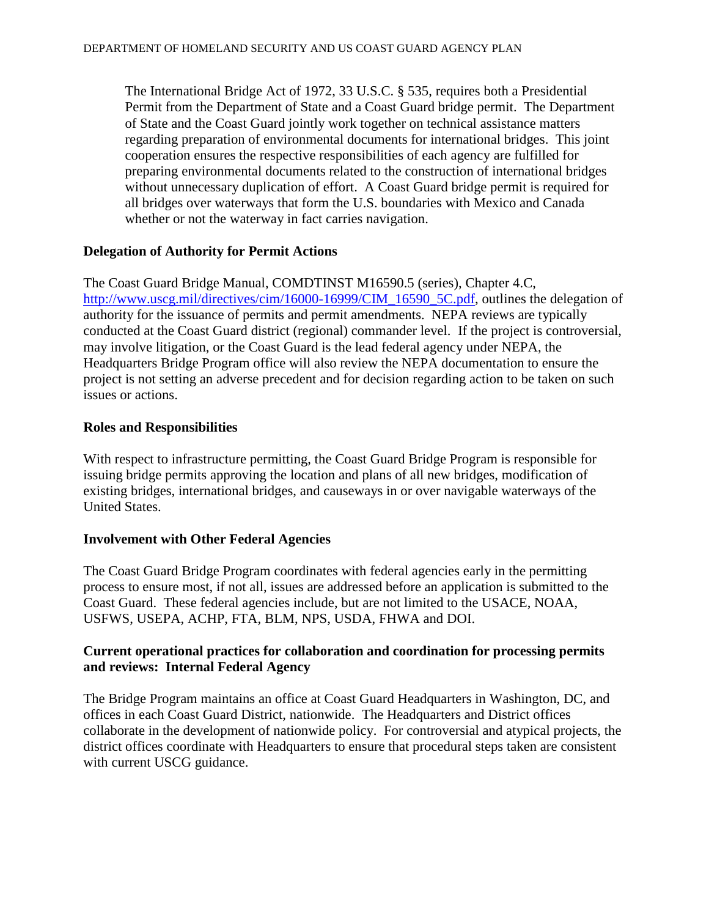The International Bridge Act of 1972, 33 U.S.C. § 535, requires both a Presidential Permit from the Department of State and a Coast Guard bridge permit. The Department of State and the Coast Guard jointly work together on technical assistance matters regarding preparation of environmental documents for international bridges. This joint cooperation ensures the respective responsibilities of each agency are fulfilled for preparing environmental documents related to the construction of international bridges without unnecessary duplication of effort. A Coast Guard bridge permit is required for all bridges over waterways that form the U.S. boundaries with Mexico and Canada whether or not the waterway in fact carries navigation.

# **Delegation of Authority for Permit Actions**

The Coast Guard Bridge Manual, COMDTINST M16590.5 (series), Chapter 4.C, [http://www.uscg.mil/directives/cim/16000-16999/CIM\\_16590\\_5C.pdf,](http://www.uscg.mil/directives/cim/16000-16999/CIM_16590_5C.pdf) outlines the delegation of authority for the issuance of permits and permit amendments. NEPA reviews are typically conducted at the Coast Guard district (regional) commander level. If the project is controversial, may involve litigation, or the Coast Guard is the lead federal agency under NEPA, the Headquarters Bridge Program office will also review the NEPA documentation to ensure the project is not setting an adverse precedent and for decision regarding action to be taken on such issues or actions.

### **Roles and Responsibilities**

With respect to infrastructure permitting, the Coast Guard Bridge Program is responsible for issuing bridge permits approving the location and plans of all new bridges, modification of existing bridges, international bridges, and causeways in or over navigable waterways of the United States.

#### **Involvement with Other Federal Agencies**

The Coast Guard Bridge Program coordinates with federal agencies early in the permitting process to ensure most, if not all, issues are addressed before an application is submitted to the Coast Guard. These federal agencies include, but are not limited to the USACE, NOAA, USFWS, USEPA, ACHP, FTA, BLM, NPS, USDA, FHWA and DOI.

### **Current operational practices for collaboration and coordination for processing permits and reviews: Internal Federal Agency**

The Bridge Program maintains an office at Coast Guard Headquarters in Washington, DC, and offices in each Coast Guard District, nationwide. The Headquarters and District offices collaborate in the development of nationwide policy. For controversial and atypical projects, the district offices coordinate with Headquarters to ensure that procedural steps taken are consistent with current USCG guidance.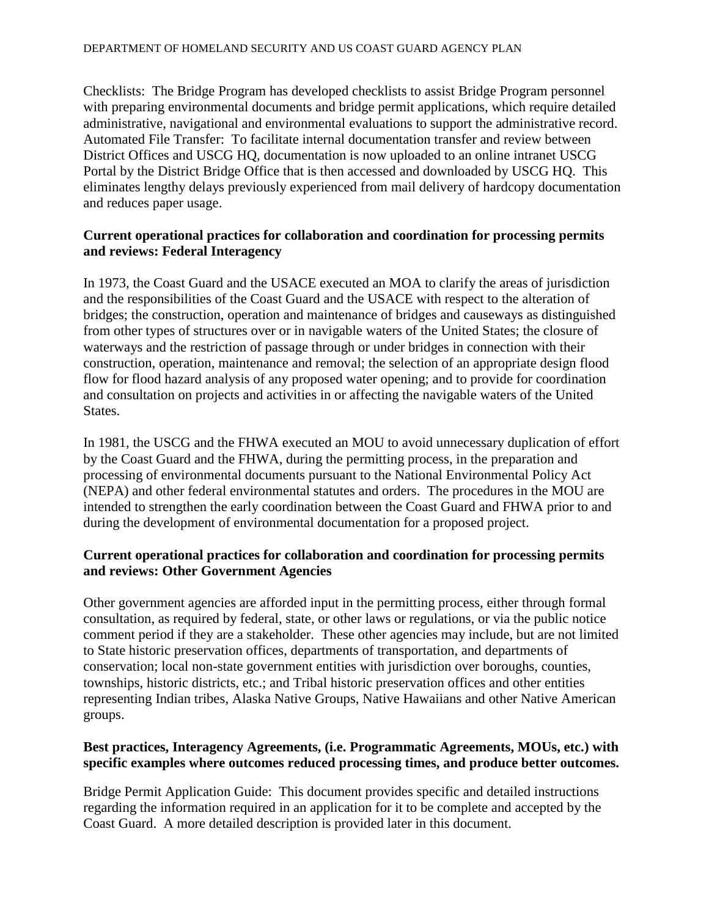Checklists: The Bridge Program has developed checklists to assist Bridge Program personnel with preparing environmental documents and bridge permit applications, which require detailed administrative, navigational and environmental evaluations to support the administrative record. Automated File Transfer: To facilitate internal documentation transfer and review between District Offices and USCG HQ, documentation is now uploaded to an online intranet USCG Portal by the District Bridge Office that is then accessed and downloaded by USCG HQ. This eliminates lengthy delays previously experienced from mail delivery of hardcopy documentation and reduces paper usage.

# **Current operational practices for collaboration and coordination for processing permits and reviews: Federal Interagency**

In 1973, the Coast Guard and the USACE executed an MOA to clarify the areas of jurisdiction and the responsibilities of the Coast Guard and the USACE with respect to the alteration of bridges; the construction, operation and maintenance of bridges and causeways as distinguished from other types of structures over or in navigable waters of the United States; the closure of waterways and the restriction of passage through or under bridges in connection with their construction, operation, maintenance and removal; the selection of an appropriate design flood flow for flood hazard analysis of any proposed water opening; and to provide for coordination and consultation on projects and activities in or affecting the navigable waters of the United States.

In 1981, the USCG and the FHWA executed an MOU to avoid unnecessary duplication of effort by the Coast Guard and the FHWA, during the permitting process, in the preparation and processing of environmental documents pursuant to the National Environmental Policy Act (NEPA) and other federal environmental statutes and orders. The procedures in the MOU are intended to strengthen the early coordination between the Coast Guard and FHWA prior to and during the development of environmental documentation for a proposed project.

# **Current operational practices for collaboration and coordination for processing permits and reviews: Other Government Agencies**

Other government agencies are afforded input in the permitting process, either through formal consultation, as required by federal, state, or other laws or regulations, or via the public notice comment period if they are a stakeholder. These other agencies may include, but are not limited to State historic preservation offices, departments of transportation, and departments of conservation; local non-state government entities with jurisdiction over boroughs, counties, townships, historic districts, etc.; and Tribal historic preservation offices and other entities representing Indian tribes, Alaska Native Groups, Native Hawaiians and other Native American groups.

# **Best practices, Interagency Agreements, (i.e. Programmatic Agreements, MOUs, etc.) with specific examples where outcomes reduced processing times, and produce better outcomes.**

Bridge Permit Application Guide: This document provides specific and detailed instructions regarding the information required in an application for it to be complete and accepted by the Coast Guard. A more detailed description is provided later in this document.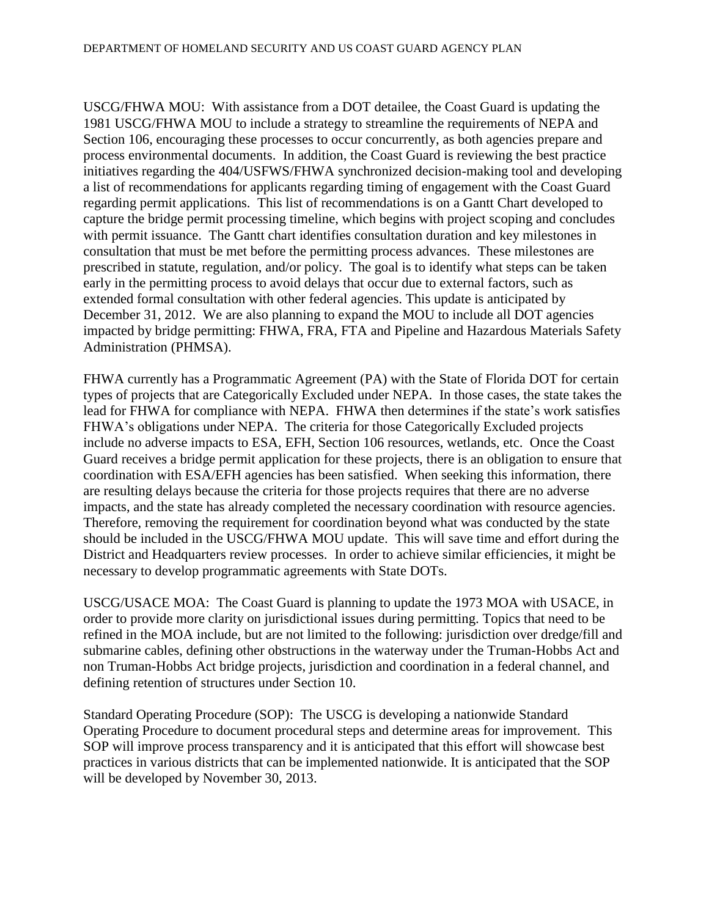USCG/FHWA MOU: With assistance from a DOT detailee, the Coast Guard is updating the 1981 USCG/FHWA MOU to include a strategy to streamline the requirements of NEPA and Section 106, encouraging these processes to occur concurrently, as both agencies prepare and process environmental documents. In addition, the Coast Guard is reviewing the best practice initiatives regarding the 404/USFWS/FHWA synchronized decision-making tool and developing a list of recommendations for applicants regarding timing of engagement with the Coast Guard regarding permit applications. This list of recommendations is on a Gantt Chart developed to capture the bridge permit processing timeline, which begins with project scoping and concludes with permit issuance. The Gantt chart identifies consultation duration and key milestones in consultation that must be met before the permitting process advances. These milestones are prescribed in statute, regulation, and/or policy. The goal is to identify what steps can be taken early in the permitting process to avoid delays that occur due to external factors, such as extended formal consultation with other federal agencies. This update is anticipated by December 31, 2012. We are also planning to expand the MOU to include all DOT agencies impacted by bridge permitting: FHWA, FRA, FTA and Pipeline and Hazardous Materials Safety Administration (PHMSA).

FHWA currently has a Programmatic Agreement (PA) with the State of Florida DOT for certain types of projects that are Categorically Excluded under NEPA. In those cases, the state takes the lead for FHWA for compliance with NEPA. FHWA then determines if the state's work satisfies FHWA's obligations under NEPA. The criteria for those Categorically Excluded projects include no adverse impacts to ESA, EFH, Section 106 resources, wetlands, etc. Once the Coast Guard receives a bridge permit application for these projects, there is an obligation to ensure that coordination with ESA/EFH agencies has been satisfied. When seeking this information, there are resulting delays because the criteria for those projects requires that there are no adverse impacts, and the state has already completed the necessary coordination with resource agencies. Therefore, removing the requirement for coordination beyond what was conducted by the state should be included in the USCG/FHWA MOU update. This will save time and effort during the District and Headquarters review processes. In order to achieve similar efficiencies, it might be necessary to develop programmatic agreements with State DOTs.

USCG/USACE MOA: The Coast Guard is planning to update the 1973 MOA with USACE, in order to provide more clarity on jurisdictional issues during permitting. Topics that need to be refined in the MOA include, but are not limited to the following: jurisdiction over dredge/fill and submarine cables, defining other obstructions in the waterway under the Truman-Hobbs Act and non Truman-Hobbs Act bridge projects, jurisdiction and coordination in a federal channel, and defining retention of structures under Section 10.

Standard Operating Procedure (SOP): The USCG is developing a nationwide Standard Operating Procedure to document procedural steps and determine areas for improvement. This SOP will improve process transparency and it is anticipated that this effort will showcase best practices in various districts that can be implemented nationwide. It is anticipated that the SOP will be developed by November 30, 2013.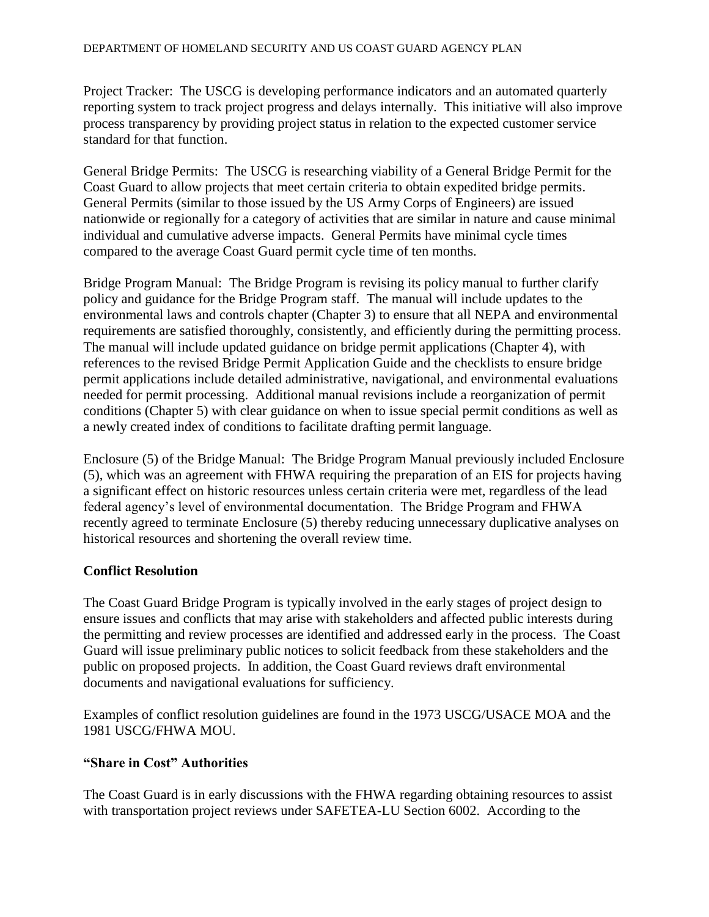Project Tracker: The USCG is developing performance indicators and an automated quarterly reporting system to track project progress and delays internally. This initiative will also improve process transparency by providing project status in relation to the expected customer service standard for that function.

General Bridge Permits: The USCG is researching viability of a General Bridge Permit for the Coast Guard to allow projects that meet certain criteria to obtain expedited bridge permits. General Permits (similar to those issued by the US Army Corps of Engineers) are issued nationwide or regionally for a category of activities that are similar in nature and cause minimal individual and cumulative adverse impacts. General Permits have minimal cycle times compared to the average Coast Guard permit cycle time of ten months.

Bridge Program Manual: The Bridge Program is revising its policy manual to further clarify policy and guidance for the Bridge Program staff. The manual will include updates to the environmental laws and controls chapter (Chapter 3) to ensure that all NEPA and environmental requirements are satisfied thoroughly, consistently, and efficiently during the permitting process. The manual will include updated guidance on bridge permit applications (Chapter 4), with references to the revised Bridge Permit Application Guide and the checklists to ensure bridge permit applications include detailed administrative, navigational, and environmental evaluations needed for permit processing. Additional manual revisions include a reorganization of permit conditions (Chapter 5) with clear guidance on when to issue special permit conditions as well as a newly created index of conditions to facilitate drafting permit language.

Enclosure (5) of the Bridge Manual: The Bridge Program Manual previously included Enclosure (5), which was an agreement with FHWA requiring the preparation of an EIS for projects having a significant effect on historic resources unless certain criteria were met, regardless of the lead federal agency's level of environmental documentation. The Bridge Program and FHWA recently agreed to terminate Enclosure (5) thereby reducing unnecessary duplicative analyses on historical resources and shortening the overall review time.

# **Conflict Resolution**

The Coast Guard Bridge Program is typically involved in the early stages of project design to ensure issues and conflicts that may arise with stakeholders and affected public interests during the permitting and review processes are identified and addressed early in the process. The Coast Guard will issue preliminary public notices to solicit feedback from these stakeholders and the public on proposed projects. In addition, the Coast Guard reviews draft environmental documents and navigational evaluations for sufficiency.

Examples of conflict resolution guidelines are found in the 1973 USCG/USACE MOA and the 1981 USCG/FHWA MOU.

#### **"Share in Cost" Authorities**

The Coast Guard is in early discussions with the FHWA regarding obtaining resources to assist with transportation project reviews under SAFETEA-LU Section 6002. According to the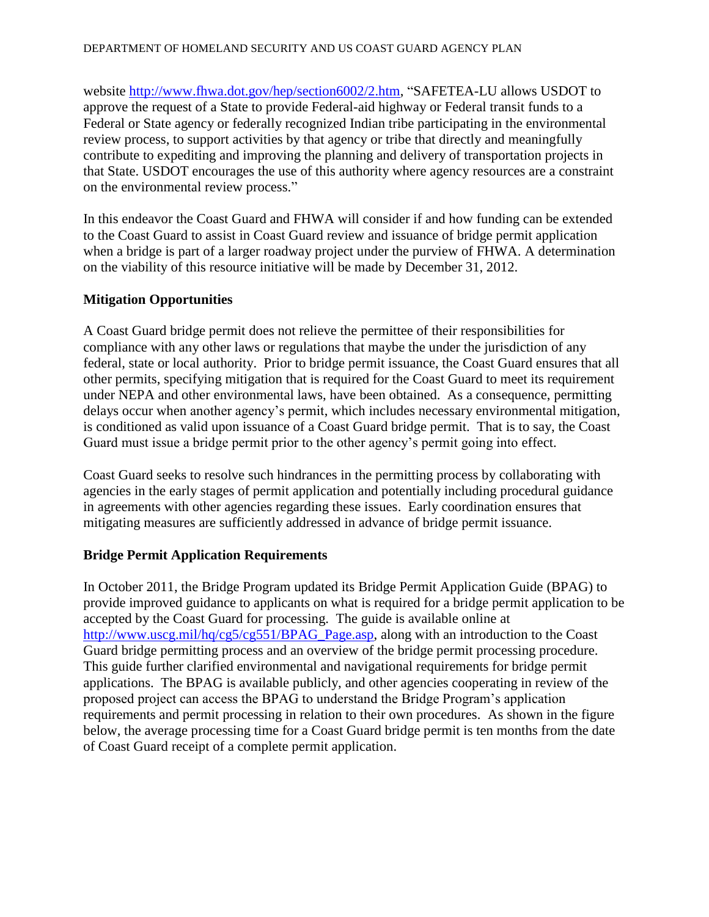website [http://www.fhwa.dot.gov/hep/section6002/2.htm,](http://www.fhwa.dot.gov/hep/section6002/2.htm) "SAFETEA-LU allows USDOT to approve the request of a State to provide Federal-aid highway or Federal transit funds to a Federal or State agency or federally recognized Indian tribe participating in the environmental review process, to support activities by that agency or tribe that directly and meaningfully contribute to expediting and improving the planning and delivery of transportation projects in that State. USDOT encourages the use of this authority where agency resources are a constraint on the environmental review process."

In this endeavor the Coast Guard and FHWA will consider if and how funding can be extended to the Coast Guard to assist in Coast Guard review and issuance of bridge permit application when a bridge is part of a larger roadway project under the purview of FHWA. A determination on the viability of this resource initiative will be made by December 31, 2012.

# **Mitigation Opportunities**

A Coast Guard bridge permit does not relieve the permittee of their responsibilities for compliance with any other laws or regulations that maybe the under the jurisdiction of any federal, state or local authority. Prior to bridge permit issuance, the Coast Guard ensures that all other permits, specifying mitigation that is required for the Coast Guard to meet its requirement under NEPA and other environmental laws, have been obtained. As a consequence, permitting delays occur when another agency's permit, which includes necessary environmental mitigation, is conditioned as valid upon issuance of a Coast Guard bridge permit. That is to say, the Coast Guard must issue a bridge permit prior to the other agency's permit going into effect.

Coast Guard seeks to resolve such hindrances in the permitting process by collaborating with agencies in the early stages of permit application and potentially including procedural guidance in agreements with other agencies regarding these issues. Early coordination ensures that mitigating measures are sufficiently addressed in advance of bridge permit issuance.

# **Bridge Permit Application Requirements**

In October 2011, the Bridge Program updated its Bridge Permit Application Guide (BPAG) to provide improved guidance to applicants on what is required for a bridge permit application to be accepted by the Coast Guard for processing. The guide is available online at [http://www.uscg.mil/hq/cg5/cg551/BPAG\\_Page.asp,](http://www.uscg.mil/hq/cg5/cg551/BPAG_Page.asp) along with an introduction to the Coast Guard bridge permitting process and an overview of the bridge permit processing procedure. This guide further clarified environmental and navigational requirements for bridge permit applications. The BPAG is available publicly, and other agencies cooperating in review of the proposed project can access the BPAG to understand the Bridge Program's application requirements and permit processing in relation to their own procedures. As shown in the figure below, the average processing time for a Coast Guard bridge permit is ten months from the date of Coast Guard receipt of a complete permit application.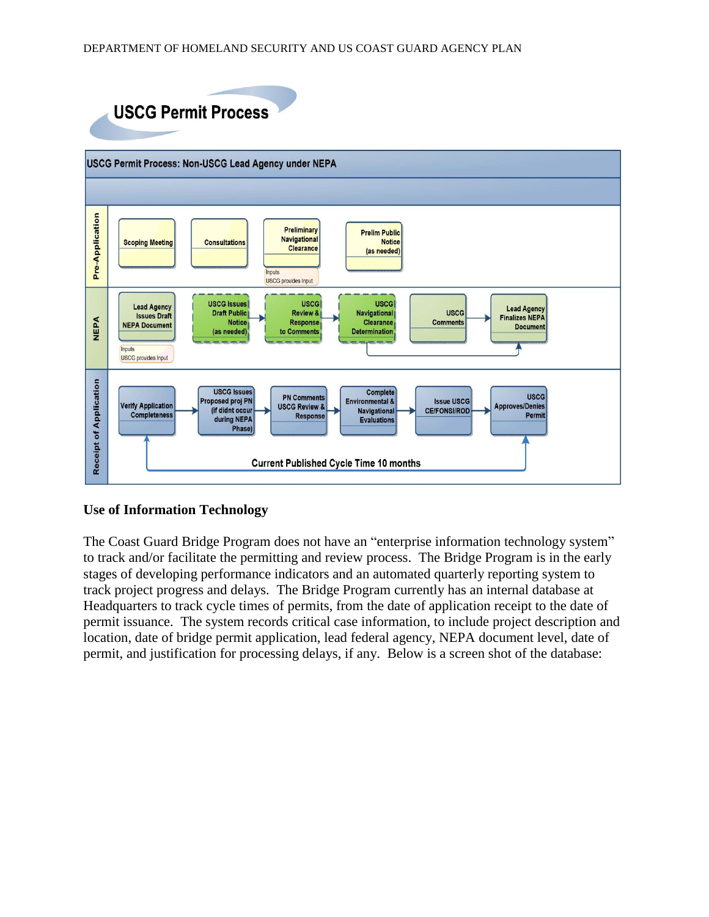



# **Use of Information Technology**

The Coast Guard Bridge Program does not have an "enterprise information technology system" to track and/or facilitate the permitting and review process. The Bridge Program is in the early stages of developing performance indicators and an automated quarterly reporting system to track project progress and delays. The Bridge Program currently has an internal database at Headquarters to track cycle times of permits, from the date of application receipt to the date of permit issuance. The system records critical case information, to include project description and location, date of bridge permit application, lead federal agency, NEPA document level, date of permit, and justification for processing delays, if any. Below is a screen shot of the database: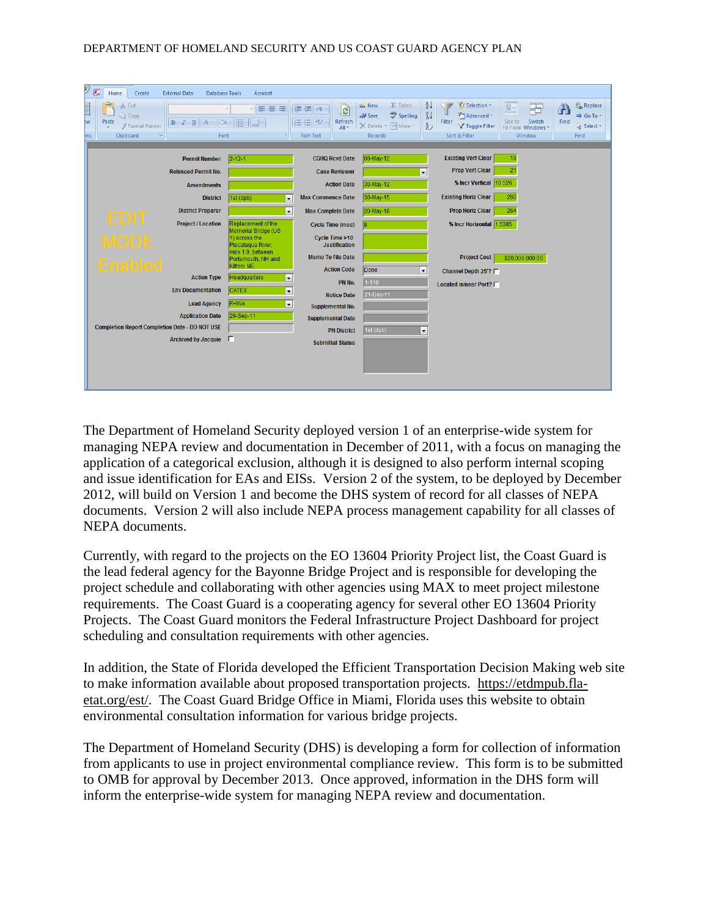#### DEPARTMENT OF HOMELAND SECURITY AND US COAST GUARD AGENCY PLAN

| c<br>Home<br>Create<br><b>External Data</b><br><b>Database Tools</b><br>Acrobat                                                                                                           |                                                                                                                      |                                                                             |                                                                                                                                   |                                                                                                                                                                                     |
|-------------------------------------------------------------------------------------------------------------------------------------------------------------------------------------------|----------------------------------------------------------------------------------------------------------------------|-----------------------------------------------------------------------------|-----------------------------------------------------------------------------------------------------------------------------------|-------------------------------------------------------------------------------------------------------------------------------------------------------------------------------------|
| & Cut<br><b>Formal</b><br><b>B</b> Copy<br>ŀw<br>Paste<br>$\mathcal{D}_{\lambda}$<br>$\, {\bf B}$<br>$U \parallel A$<br>$\overline{I}$<br>Format Painter<br>围.<br>Clipboard<br>Font<br>ws | $\overline{\mathbf{e}}$<br>·   哥 등 등<br>建建团<br>目目 <sup>92</sup><br>Refresh<br>里,<br>$All -$<br>反<br><b>Rich Text</b> | New<br>$\Sigma$ Totals<br>Spelling<br>Save<br>X Delete - EMore -<br>Records | $\frac{A}{Z}$<br>Selection -<br>$\frac{Z}{A}$<br>Advanced *<br>Filter<br>$\frac{A}{2}$<br><b>Y</b> Toggle Filter<br>Sort & Filter | ab <sub>ac</sub> Replace<br>Ĥ<br>$\boxed{\underline{\textbf{S}} = \textbf{B}}$<br>臣<br>→ Go To *<br>Switch<br>Find<br>Size to<br>a Select -<br>Fit Form Windows *<br>Window<br>Find |
|                                                                                                                                                                                           |                                                                                                                      |                                                                             |                                                                                                                                   |                                                                                                                                                                                     |
| <b>Permit Number</b>                                                                                                                                                                      | <b>CGHQ Rcvd Date</b><br>$2 - 12 - 1$                                                                                | 08-May-12                                                                   | <b>Existing Vert Clear</b>                                                                                                        | 19                                                                                                                                                                                  |
| <b>Reissued Permit No.</b>                                                                                                                                                                | <b>Case Reviewer</b>                                                                                                 | ۰                                                                           | <b>Prop Vert Clear</b>                                                                                                            | 21                                                                                                                                                                                  |
| <b>Amendments</b>                                                                                                                                                                         | <b>Action Date</b>                                                                                                   | 30-May-12                                                                   | % Incr Vertical 10.526                                                                                                            |                                                                                                                                                                                     |
| <b>District</b>                                                                                                                                                                           | <b>Max Commence Date</b><br>1st (dpb)<br>$\overline{\phantom{a}}$                                                    | 30-May-15                                                                   | <b>Existing Horiz Clear</b>                                                                                                       | 260                                                                                                                                                                                 |
| <b>District Preparer</b>                                                                                                                                                                  | $\overline{\phantom{a}}$<br><b>Max Complete Date</b>                                                                 | 20-May-18                                                                   | <b>Prop Horiz Clear</b>                                                                                                           | 264                                                                                                                                                                                 |
| <b>EDIT</b><br><b>Project / Location</b>                                                                                                                                                  | Replacement of the<br><b>Cycle Time (mos)</b>                                                                        | 18                                                                          | % Incr Horizontal 1.5385                                                                                                          |                                                                                                                                                                                     |
| <b>MODE</b>                                                                                                                                                                               | Memorial Bridge (US<br>1) across the<br>Cycle Time >10<br>Piscataqua River,<br><b>Justification</b>                  |                                                                             |                                                                                                                                   |                                                                                                                                                                                     |
|                                                                                                                                                                                           | mile 1.9, between<br><b>Memo To File Date</b><br>Portsmouth, NH and                                                  |                                                                             | <b>Project Cost</b>                                                                                                               | \$20,000,000.00                                                                                                                                                                     |
| <b>Enabled</b>                                                                                                                                                                            | Kittery, ME<br><b>Action Code</b>                                                                                    | Done<br>$\overline{\phantom{0}}$                                            | Channel Depth 25'?                                                                                                                |                                                                                                                                                                                     |
| <b>Action Type</b>                                                                                                                                                                        | <b>Headquarters</b><br>$\overline{\phantom{a}}$<br>PN No.                                                            | $1 - 110$                                                                   | Located in/near Port?                                                                                                             |                                                                                                                                                                                     |
| <b>Env Documentation</b>                                                                                                                                                                  | <b>CATEX</b><br>$\overline{\phantom{a}}$<br><b>Notice Date</b>                                                       | 21-Dec-11                                                                   |                                                                                                                                   |                                                                                                                                                                                     |
| <b>Lead Agency</b>                                                                                                                                                                        | FHWA<br>$\overline{\phantom{a}}$<br>Supplemental No.                                                                 |                                                                             |                                                                                                                                   |                                                                                                                                                                                     |
| <b>Application Date</b>                                                                                                                                                                   | 29-Sep-11<br><b>Supplemental Date</b>                                                                                |                                                                             |                                                                                                                                   |                                                                                                                                                                                     |
| <b>Completion Report Completion Date - DO NOT USE</b>                                                                                                                                     | <b>PN District</b>                                                                                                   | 1st (dpb)<br>$\blacktriangledown$                                           |                                                                                                                                   |                                                                                                                                                                                     |
| Archived by Jacquie $\Box$                                                                                                                                                                | <b>Submittal Status</b>                                                                                              |                                                                             |                                                                                                                                   |                                                                                                                                                                                     |
|                                                                                                                                                                                           |                                                                                                                      |                                                                             |                                                                                                                                   |                                                                                                                                                                                     |
|                                                                                                                                                                                           |                                                                                                                      |                                                                             |                                                                                                                                   |                                                                                                                                                                                     |
|                                                                                                                                                                                           |                                                                                                                      |                                                                             |                                                                                                                                   |                                                                                                                                                                                     |

The Department of Homeland Security deployed version 1 of an enterprise-wide system for managing NEPA review and documentation in December of 2011, with a focus on managing the application of a categorical exclusion, although it is designed to also perform internal scoping and issue identification for EAs and EISs. Version 2 of the system, to be deployed by December 2012, will build on Version 1 and become the DHS system of record for all classes of NEPA documents. Version 2 will also include NEPA process management capability for all classes of NEPA documents.

Currently, with regard to the projects on the EO 13604 Priority Project list, the Coast Guard is the lead federal agency for the Bayonne Bridge Project and is responsible for developing the project schedule and collaborating with other agencies using MAX to meet project milestone requirements. The Coast Guard is a cooperating agency for several other EO 13604 Priority Projects. The Coast Guard monitors the Federal Infrastructure Project Dashboard for project scheduling and consultation requirements with other agencies.

In addition, the State of Florida developed the Efficient Transportation Decision Making web site to make information available about proposed transportation projects. [https://etdmpub.fla](https://etdmpub.fla-etat.org/est/)[etat.org/est/.](https://etdmpub.fla-etat.org/est/) The Coast Guard Bridge Office in Miami, Florida uses this website to obtain environmental consultation information for various bridge projects.

The Department of Homeland Security (DHS) is developing a form for collection of information from applicants to use in project environmental compliance review. This form is to be submitted to OMB for approval by December 2013. Once approved, information in the DHS form will inform the enterprise-wide system for managing NEPA review and documentation.